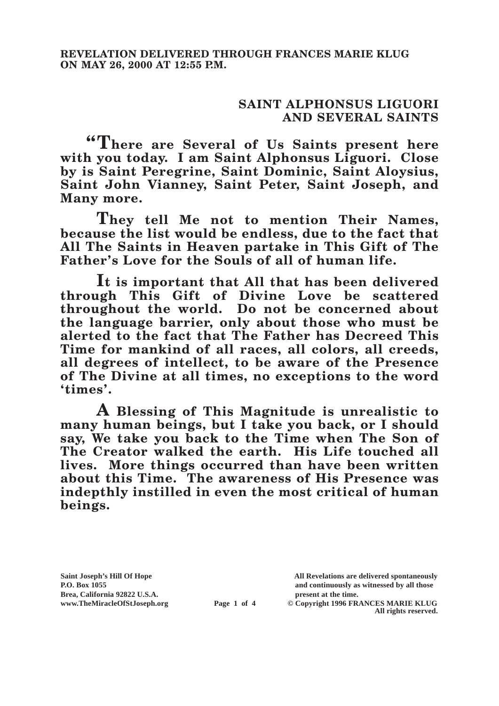## **SAINT ALPHONSUS LIGUORI AND SEVERAL SAINTS**

**"There are Several of Us Saints present here with you today. I am Saint Alphonsus Liguori. Close by is Saint Peregrine, Saint Dominic, Saint Aloysius, Saint John Vianney, Saint Peter, Saint Joseph, and Many more.**

**They tell Me not to mention Their Names, because the list would be endless, due to the fact that All The Saints in Heaven partake in This Gift of The Father's Love for the Souls of all of human life.**

**It is important that All that has been delivered through This Gift of Divine Love be scattered throughout the world. Do not be concerned about the language barrier, only about those who must be alerted to the fact that The Father has Decreed This Time for mankind of all races, all colors, all creeds, all degrees of intellect, to be aware of the Presence of The Divine at all times, no exceptions to the word 'times'.**

**A Blessing of This Magnitude is unrealistic to many human beings, but I take you back, or I should say, We take you back to the Time when The Son of The Creator walked the earth. His Life touched all lives. More things occurred than have been written about this Time. The awareness of His Presence was indepthly instilled in even the most critical of human beings.**

**Saint Joseph's Hill Of Hope All Revelations are delivered spontaneously P.O. Box 1055 and continuously as witnessed by all those** 

**Page 1 of 4** © Copyright 1996 FRANCES MARIE KLUG **All rights reserved.**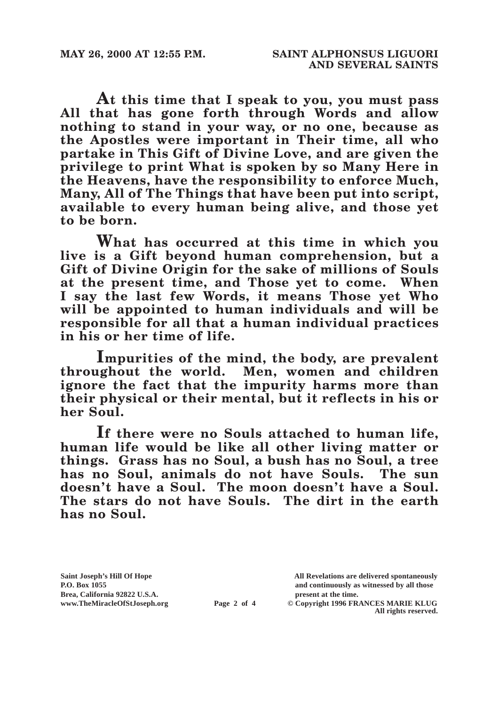**At this time that I speak to you, you must pass All that has gone forth through Words and allow nothing to stand in your way, or no one, because as the Apostles were important in Their time, all who partake in This Gift of Divine Love, and are given the privilege to print What is spoken by so Many Here in the Heavens, have the responsibility to enforce Much, Many, All of The Things that have been put into script, available to every human being alive, and those yet to be born.**

**What has occurred at this time in which you live is a Gift beyond human comprehension, but a Gift of Divine Origin for the sake of millions of Souls at the present time, and Those yet to come. When I say the last few Words, it means Those yet Who will be appointed to human individuals and will be responsible for all that a human individual practices in his or her time of life.**

**Impurities of the mind, the body, are prevalent throughout the world. Men, women and children ignore the fact that the impurity harms more than their physical or their mental, but it reflects in his or her Soul.**

**If there were no Souls attached to human life, human life would be like all other living matter or things. Grass has no Soul, a bush has no Soul, a tree has no Soul, animals do not have Souls. The sun doesn't have a Soul. The moon doesn't have a Soul. The stars do not have Souls. The dirt in the earth has no Soul.**

Brea, California 92822 U.S.A.<br>
www.TheMiracleOfStJoseph.org<br> **Page 2 of 4** © Copyright 1996 FR.

**Saint Joseph's Hill Of Hope All Revelations are delivered spontaneously P.O. Box 1055 and continuously as witnessed by all those** 

**Page 2 of 4** © Copyright 1996 FRANCES MARIE KLUG **All rights reserved.**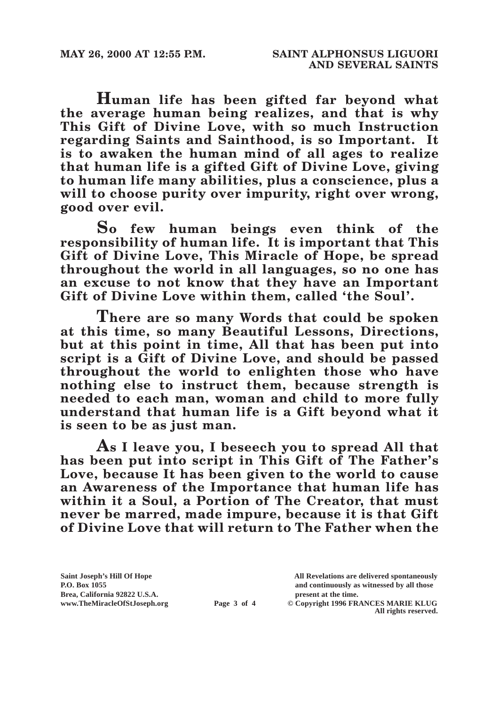**Human life has been gifted far beyond what the average human being realizes, and that is why This Gift of Divine Love, with so much Instruction regarding Saints and Sainthood, is so Important. It is to awaken the human mind of all ages to realize that human life is a gifted Gift of Divine Love, giving to human life many abilities, plus a conscience, plus a**  will to choose purity over impurity, right over wrong, **good over evil.**

**So few human beings even think of the responsibility of human life. It is important that This Gift of Divine Love, This Miracle of Hope, be spread throughout the world in all languages, so no one has an excuse to not know that they have an Important Gift of Divine Love within them, called 'the Soul'.**

**There are so many Words that could be spoken at this time, so many Beautiful Lessons, Directions, but at this point in time, All that has been put into script is a Gift of Divine Love, and should be passed throughout the world to enlighten those who have nothing else to instruct them, because strength is needed to each man, woman and child to more fully understand that human life is a Gift beyond what it is seen to be as just man.**

**As I leave you, I beseech you to spread All that has been put into script in This Gift of The Father's Love, because It has been given to the world to cause an Awareness of the Importance that human life has within it a Soul, a Portion of The Creator, that must never be marred, made impure, because it is that Gift of Divine Love that will return to The Father when the** 

Brea, California 92822 U.S.A.<br>
www.TheMiracleOfStJoseph.org<br> **Page 3 of 4** © Copyright 1996 FR.

**Saint Joseph's Hill Of Hope All Revelations are delivered spontaneously P.O. Box 1055 and continuously as witnessed by all those** 

**Page 3 of 4** © Copyright 1996 FRANCES MARIE KLUG **All rights reserved.**